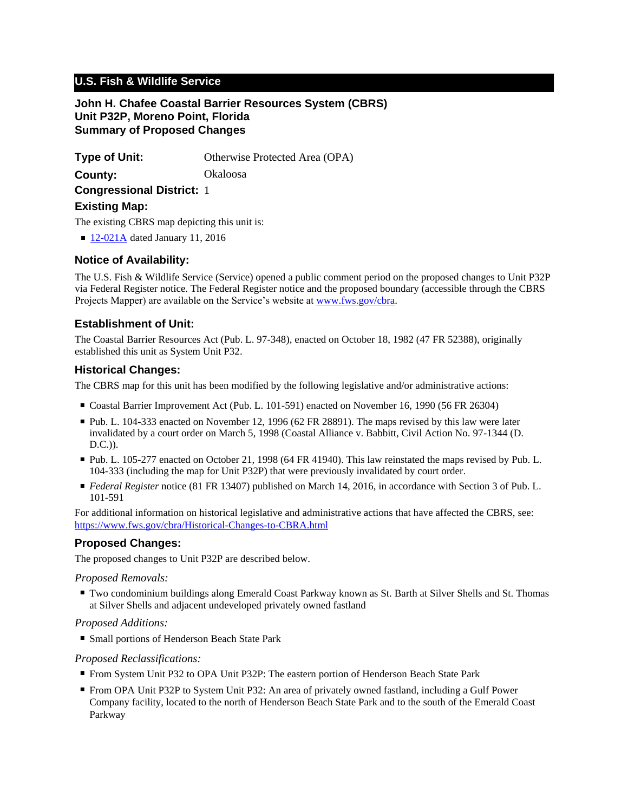# **U.S. Fish & Wildlife Service**

## **John H. Chafee Coastal Barrier Resources System (CBRS) Unit P32P, Moreno Point, Florida Summary of Proposed Changes**

**Type of Unit:** Otherwise Protected Area (OPA)

**County:** Okaloosa

**Congressional District:** 1

## **Existing Map:**

The existing CBRS map depicting this unit is:

■ [12-021A](http://www.fws.gov/cbra/maps/effective/12-021A.pdf) dated January 11, 2016

## **Notice of Availability:**

The U.S. Fish & Wildlife Service (Service) opened a public comment period on the proposed changes to Unit P32P via Federal Register notice. The Federal Register notice and the proposed boundary (accessible through the CBRS Projects Mapper) are available on the Service's website at www.fws.gov/cbra.

## **Establishment of Unit:**

The Coastal Barrier Resources Act (Pub. L. 97-348), enacted on October 18, 1982 (47 FR 52388), originally established this unit as System Unit P32.

## **Historical Changes:**

The CBRS map for this unit has been modified by the following legislative and/or administrative actions:

- Coastal Barrier Improvement Act (Pub. L. 101-591) enacted on November 16, 1990 (56 FR 26304)
- Pub. L. 104-333 enacted on November 12, 1996 (62 FR 28891). The maps revised by this law were later invalidated by a court order on March 5, 1998 (Coastal Alliance v. Babbitt, Civil Action No. 97-1344 (D. D.C.)).
- Pub. L. 105-277 enacted on October 21, 1998 (64 FR 41940). This law reinstated the maps revised by Pub. L. 104-333 (including the map for Unit P32P) that were previously invalidated by court order.
- *Federal Register* notice (81 FR 13407) published on March 14, 2016, in accordance with Section 3 of Pub. L. 101-591

For additional information on historical legislative and administrative actions that have affected the CBRS, see: <https://www.fws.gov/cbra/Historical-Changes-to-CBRA.html>

## **Proposed Changes:**

The proposed changes to Unit P32P are described below.

### *Proposed Removals:*

■ Two condominium buildings along Emerald Coast Parkway known as St. Barth at Silver Shells and St. Thomas at Silver Shells and adjacent undeveloped privately owned fastland

### *Proposed Additions:*

■ Small portions of Henderson Beach State Park

### *Proposed Reclassifications:*

- From System Unit P32 to OPA Unit P32P: The eastern portion of Henderson Beach State Park
- From OPA Unit P32P to System Unit P32: An area of privately owned fastland, including a Gulf Power Company facility, located to the north of Henderson Beach State Park and to the south of the Emerald Coast Parkway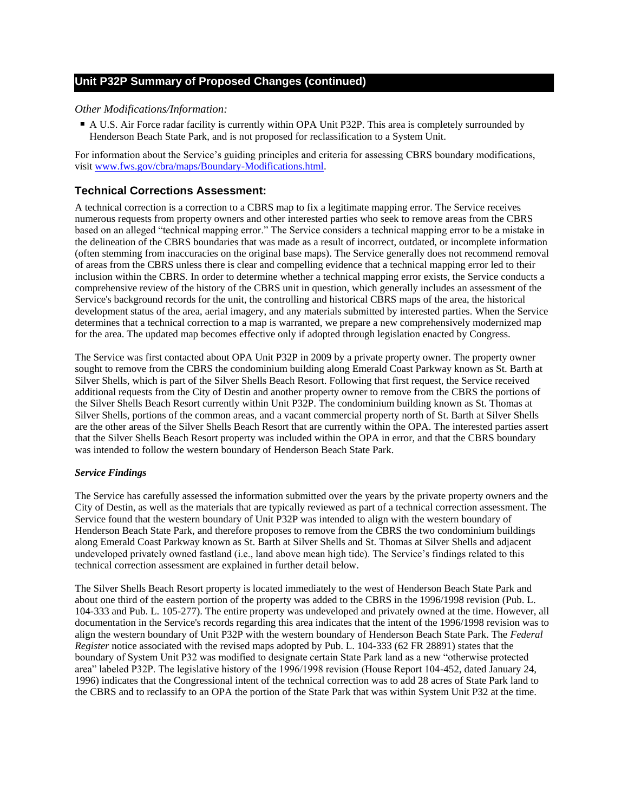## **Unit P32P Summary of Proposed Changes (continued)**

#### *Other Modifications/Information:*

■ A U.S. Air Force radar facility is currently within OPA Unit P32P. This area is completely surrounded by Henderson Beach State Park, and is not proposed for reclassification to a System Unit.

For information about the Service's guiding principles and criteria for assessing CBRS boundary modifications, visit www.fws.gov/cbra/maps/Boundary-Modifications.html.

#### **Technical Corrections Assessment:**

A technical correction is a correction to a CBRS map to fix a legitimate mapping error. The Service receives numerous requests from property owners and other interested parties who seek to remove areas from the CBRS based on an alleged "technical mapping error." The Service considers a technical mapping error to be a mistake in the delineation of the CBRS boundaries that was made as a result of incorrect, outdated, or incomplete information (often stemming from inaccuracies on the original base maps). The Service generally does not recommend removal of areas from the CBRS unless there is clear and compelling evidence that a technical mapping error led to their inclusion within the CBRS. In order to determine whether a technical mapping error exists, the Service conducts a comprehensive review of the history of the CBRS unit in question, which generally includes an assessment of the Service's background records for the unit, the controlling and historical CBRS maps of the area, the historical development status of the area, aerial imagery, and any materials submitted by interested parties. When the Service determines that a technical correction to a map is warranted, we prepare a new comprehensively modernized map for the area. The updated map becomes effective only if adopted through legislation enacted by Congress.

The Service was first contacted about OPA Unit P32P in 2009 by a private property owner. The property owner sought to remove from the CBRS the condominium building along Emerald Coast Parkway known as St. Barth at Silver Shells, which is part of the Silver Shells Beach Resort. Following that first request, the Service received additional requests from the City of Destin and another property owner to remove from the CBRS the portions of the Silver Shells Beach Resort currently within Unit P32P. The condominium building known as St. Thomas at Silver Shells, portions of the common areas, and a vacant commercial property north of St. Barth at Silver Shells are the other areas of the Silver Shells Beach Resort that are currently within the OPA. The interested parties assert that the Silver Shells Beach Resort property was included within the OPA in error, and that the CBRS boundary was intended to follow the western boundary of Henderson Beach State Park.

#### *Service Findings*

The Service has carefully assessed the information submitted over the years by the private property owners and the City of Destin, as well as the materials that are typically reviewed as part of a technical correction assessment. The Service found that the western boundary of Unit P32P was intended to align with the western boundary of Henderson Beach State Park, and therefore proposes to remove from the CBRS the two condominium buildings along Emerald Coast Parkway known as St. Barth at Silver Shells and St. Thomas at Silver Shells and adjacent undeveloped privately owned fastland (i.e., land above mean high tide). The Service's findings related to this technical correction assessment are explained in further detail below.

The Silver Shells Beach Resort property is located immediately to the west of Henderson Beach State Park and about one third of the eastern portion of the property was added to the CBRS in the 1996/1998 revision (Pub. L. 104-333 and Pub. L. 105-277). The entire property was undeveloped and privately owned at the time. However, all documentation in the Service's records regarding this area indicates that the intent of the 1996/1998 revision was to align the western boundary of Unit P32P with the western boundary of Henderson Beach State Park. The *Federal Register* notice associated with the revised maps adopted by Pub. L. 104-333 (62 FR 28891) states that the boundary of System Unit P32 was modified to designate certain State Park land as a new "otherwise protected area" labeled P32P. The legislative history of the 1996/1998 revision (House Report 104-452, dated January 24, 1996) indicates that the Congressional intent of the technical correction was to add 28 acres of State Park land to the CBRS and to reclassify to an OPA the portion of the State Park that was within System Unit P32 at the time.